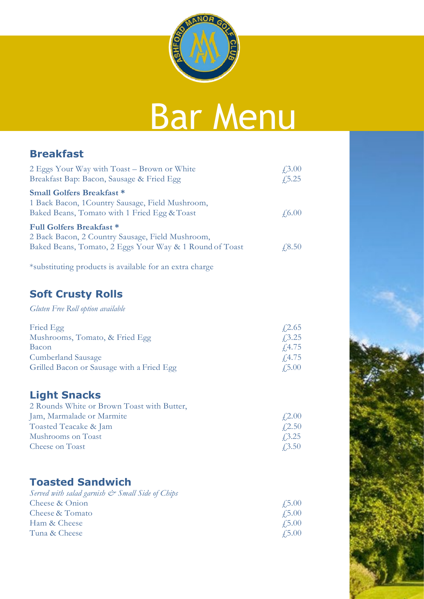

# Bar Menu

#### **Breakfast**

| 2 Eggs Your Way with Toast – Brown or White<br>Breakfast Bap: Bacon, Sausage & Fried Egg                                                       | $\angle 3.00$<br>$\sqrt{5.25}$ |
|------------------------------------------------------------------------------------------------------------------------------------------------|--------------------------------|
| <b>Small Golfers Breakfast *</b><br>1 Back Bacon, 1 Country Sausage, Field Mushroom,<br>Baked Beans, Tomato with 1 Fried Egg & Toast           | $\angle 6.00$                  |
| <b>Full Golfers Breakfast *</b><br>2 Back Bacon, 2 Country Sausage, Field Mushroom,<br>Baked Beans, Tomato, 2 Eggs Your Way & 1 Round of Toast | $\sqrt{.8.50}$                 |

\*substituting products is available for an extra charge

#### **Soft Crusty Rolls**

*Gluten Free Roll option available* 

| Fried Egg                                 | $\sqrt{2.65}$ |
|-------------------------------------------|---------------|
| Mushrooms, Tomato, & Fried Egg            | $\sqrt{3.25}$ |
| Bacon                                     | $\sqrt{4.75}$ |
| <b>Cumberland Sausage</b>                 | $\sqrt{4.75}$ |
| Grilled Bacon or Sausage with a Fried Egg | $\angle 5.00$ |

## **Light Snacks**

| $\angle 2.00$ |
|---------------|
| $\angle 2.50$ |
| $\sqrt{3.25}$ |
| $\angle 3.50$ |
|               |

### **Toasted Sandwich**

| Served with salad garnish $\mathcal{Q}^*$ Small Side of Chips |               |
|---------------------------------------------------------------|---------------|
| Cheese & Onion                                                | $\angle 5.00$ |
| Cheese & Tomato                                               | $\angle 5.00$ |
| Ham & Cheese                                                  | $\angle 5.00$ |
| Tuna & Cheese                                                 | $\angle 5.00$ |